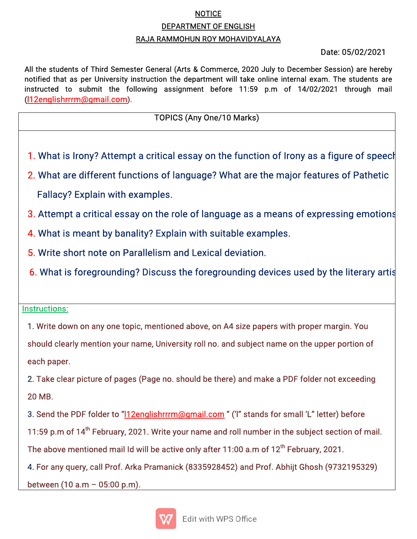### **NOTICE**

#### DEPARTMENT OF ENGLISH

#### RAJA RAMMOHUN ROY MOHAVIDYALAYA

### Date:05/02/2021

All the students of Third Semester General (Arts & Commerce, 2020 July to December Session) are hereby notified that as per University instruction the department will take online internal exam. The students are instructed to submit the following assignment before 11:59 p.m of 14/02/2021 through mail (l12englishrrrm@gmail.com).

# TOPICS(AnyOne/10Marks)

- 1. What is Irony? Attempt a critical essay on the function of Irony as a figure of speech
- 2. What are different functions of language? What are the major features of Pathetic Fallacy? Explain with examples.
- 3. Attempt a critical essay on the role of language as a means of expressing emotions
- 4. What is meant by banality? Explain with suitable examples.
- 5. Write short note on Parallelism and Lexical deviation.
- 6. What is foregrounding? Discuss the foregrounding devices used by the literary artis

## Instructions:

4. The contract of the contract of the contract of the contract of the contract of

1. Write down on any one topic, mentioned above, on A4 size papers with proper margin. You should clearly mention your name, University roll no. and subject name on the upper portion of each paper.

2. Take clear picture of pages (Page no. should be there) and make a PDF folder not exceeding 20MB.

3. Send the PDF folder to "l12englishrrrm@gmail.com" ('I" stands for small 'L" letter) before 11:59 p.m of 14<sup>th</sup> February, 2021. Write your name and roll number in the subject section of mail. The above mentioned mail Id will be active only after 11:00 a.m of 12<sup>th</sup> February, 2021. 4. For any query, call Prof. Arka Pramanick (8335928452) and Prof. Abhijt Ghosh (9732195329) between (10 a.m  $-$  05:00 p.m).